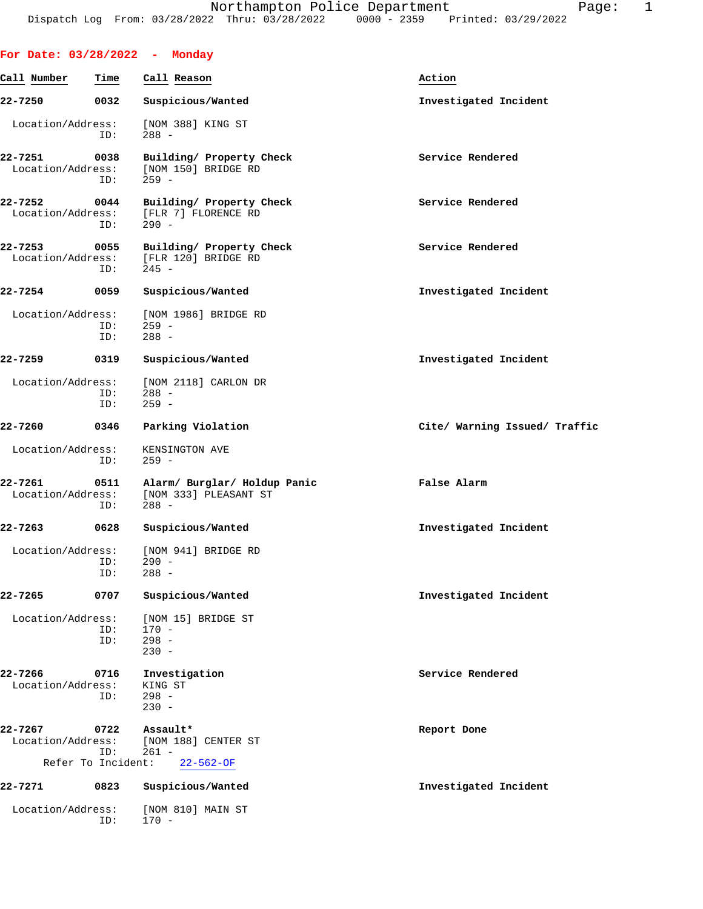|                              |                    | For Date: $03/28/2022 -$ Monday                                  |                               |
|------------------------------|--------------------|------------------------------------------------------------------|-------------------------------|
| Call Number                  | Time               | Call Reason                                                      | Action                        |
| 22-7250                      | 0032               | Suspicious/Wanted                                                | Investigated Incident         |
| Location/Address:            | ID:                | [NOM 388] KING ST<br>$288 -$                                     |                               |
| 22-7251<br>Location/Address: | 0038<br>ID:        | Building/ Property Check<br>[NOM 150] BRIDGE RD<br>$259 -$       | Service Rendered              |
| 22-7252<br>Location/Address: | 0044<br>ID:        | Building/ Property Check<br>[FLR 7] FLORENCE RD<br>$290 -$       | Service Rendered              |
| 22-7253<br>Location/Address: | 0055<br>ID:        | Building/ Property Check<br>[FLR 120] BRIDGE RD<br>$245 -$       | Service Rendered              |
| 22-7254                      | 0059               | Suspicious/Wanted                                                | Investigated Incident         |
| Location/Address:            | ID:<br>ID:         | [NOM 1986] BRIDGE RD<br>$259 -$<br>$288 -$                       |                               |
| 22-7259                      | 0319               | Suspicious/Wanted                                                | Investigated Incident         |
| Location/Address:            | ID:<br>ID:         | [NOM 2118] CARLON DR<br>$288 -$<br>$259 -$                       |                               |
| 22-7260                      | 0346               | Parking Violation                                                | Cite/ Warning Issued/ Traffic |
| Location/Address:            | ID:                | KENSINGTON AVE<br>$259 -$                                        |                               |
| 22-7261<br>Location/Address: | 0511<br>ID:        | Alarm/ Burglar/ Holdup Panic<br>[NOM 333] PLEASANT ST<br>$288 -$ | False Alarm                   |
| 22-7263                      | 0628               | Suspicious/Wanted                                                | Investigated Incident         |
| Location/Address:            | ID:<br>ID:         | [NOM 941] BRIDGE RD<br>290 -<br>$288 -$                          |                               |
| 22-7265                      | 0707               | Suspicious/Wanted                                                | Investigated Incident         |
| Location/Address:            | ID:<br>ID:         | [NOM 15] BRIDGE ST<br>$170 -$<br>$298 -$<br>$230 -$              |                               |
| 22-7266<br>Location/Address: | 0716<br>ID:        | Investigation<br>KING ST<br>$298 -$<br>$230 -$                   | Service Rendered              |
| 22-7267<br>Location/Address: | 0722<br>ID:        | Assault*<br>[NOM 188] CENTER ST<br>$261 -$                       | Report Done                   |
|                              | Refer To Incident: | $22 - 562 - OF$                                                  |                               |
| 22-7271                      | 0823               | Suspicious/Wanted                                                | Investigated Incident         |
| Location/Address:            | ID:                | [NOM 810] MAIN ST<br>$170 -$                                     |                               |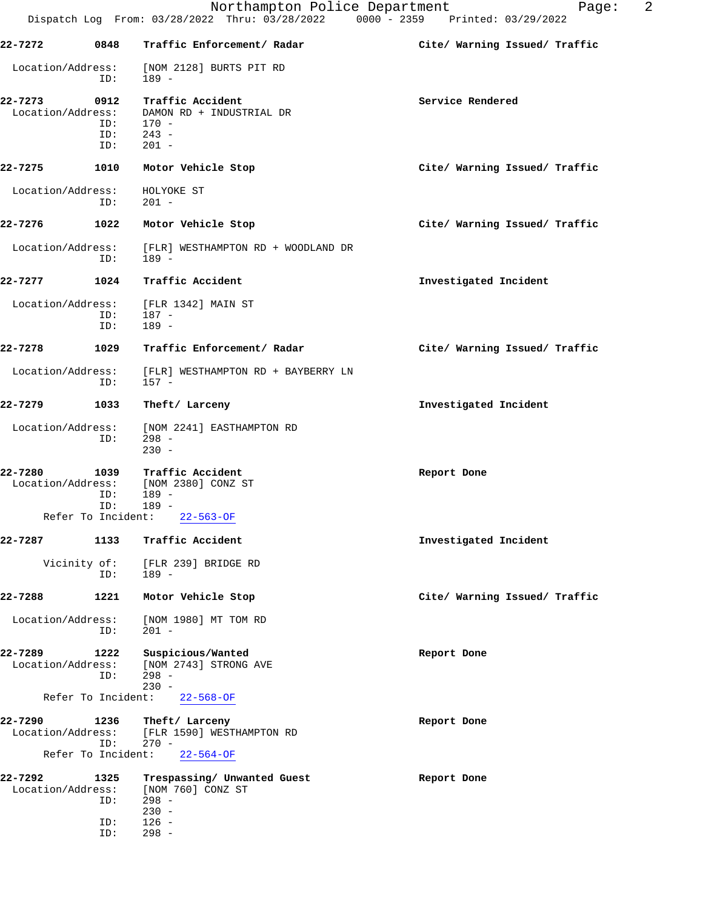|                              |                                   | Northampton Police Department<br>Dispatch Log From: 03/28/2022 Thru: 03/28/2022 0000 - 2359 Printed: 03/29/2022 | 2<br>Page:                    |
|------------------------------|-----------------------------------|-----------------------------------------------------------------------------------------------------------------|-------------------------------|
| 22-7272                      | 0848                              | Traffic Enforcement/ Radar                                                                                      | Cite/ Warning Issued/ Traffic |
| Location/Address:            | ID:                               | [NOM 2128] BURTS PIT RD<br>$189 -$                                                                              |                               |
| 22-7273<br>Location/Address: | 0912<br>ID:<br>ID:<br>ID:         | Traffic Accident<br>DAMON RD + INDUSTRIAL DR<br>$170 -$<br>$243 -$<br>$201 -$                                   | Service Rendered              |
| 22-7275                      | 1010                              | Motor Vehicle Stop                                                                                              | Cite/ Warning Issued/ Traffic |
| Location/Address:            | ID:                               | HOLYOKE ST<br>$201 -$                                                                                           |                               |
| 22-7276                      | 1022                              | Motor Vehicle Stop                                                                                              | Cite/ Warning Issued/ Traffic |
| Location/Address:            | ID:                               | [FLR] WESTHAMPTON RD + WOODLAND DR<br>189 -                                                                     |                               |
| 22-7277                      | 1024                              | Traffic Accident                                                                                                | Investigated Incident         |
| Location/Address:            | ID:<br>ID:                        | [FLR 1342] MAIN ST<br>$187 -$<br>$189 -$                                                                        |                               |
| 22-7278                      | 1029                              | Traffic Enforcement/ Radar                                                                                      | Cite/ Warning Issued/ Traffic |
| Location/Address:            | ID:                               | [FLR] WESTHAMPTON RD + BAYBERRY LN<br>157 -                                                                     |                               |
| 22-7279                      | 1033                              | Theft/ Larceny                                                                                                  | Investigated Incident         |
| Location/Address:            | ID:                               | [NOM 2241] EASTHAMPTON RD<br>$298 -$<br>$230 -$                                                                 |                               |
| 22-7280<br>Location/Address: | 1039<br>ID:<br>ID:                | Traffic Accident<br>[NOM 2380] CONZ ST<br>189 -<br>$189 -$<br>Refer To Incident: 22-563-OF                      | Report Done                   |
| 22-7287                      | 1133                              | Traffic Accident                                                                                                | Investigated Incident         |
|                              | Vicinity of:<br>ID:               | [FLR 239] BRIDGE RD<br>$189 -$                                                                                  |                               |
| 22-7288                      | 1221                              | Motor Vehicle Stop                                                                                              | Cite/ Warning Issued/ Traffic |
| Location/Address:            | ID:                               | [NOM 1980] MT TOM RD<br>$201 -$                                                                                 |                               |
| 22-7289<br>Location/Address: | 1222<br>ID:                       | Suspicious/Wanted<br>[NOM 2743] STRONG AVE<br>$298 -$<br>$230 -$                                                | Report Done                   |
|                              | Refer To Incident:                | $22 - 568 - OF$                                                                                                 |                               |
| 22-7290<br>Location/Address: | 1236<br>ID:<br>Refer To Incident: | Theft/ Larceny<br>[FLR 1590] WESTHAMPTON RD<br>$270 -$<br>$22 - 564 - OF$                                       | Report Done                   |
| 22-7292<br>Location/Address: | 1325<br>ID:                       | Trespassing/ Unwanted Guest<br>[NOM 760] CONZ ST<br>$298 -$<br>$230 -$                                          | Report Done                   |
|                              | ID:                               | $126 -$                                                                                                         |                               |

ID: 298 -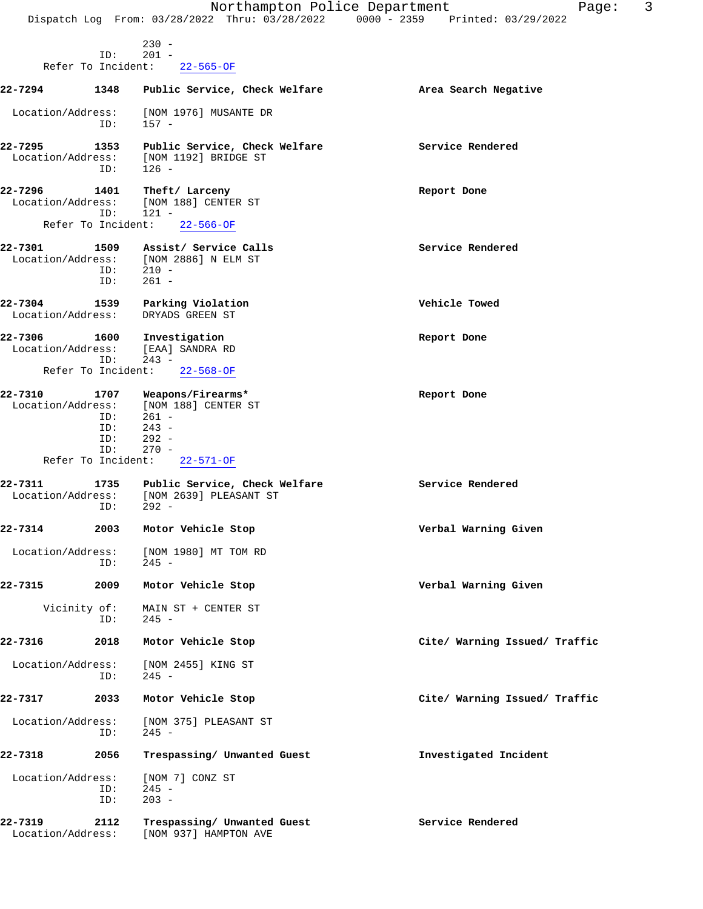|                              |                                                        | Northampton Police Department<br>Dispatch Log From: 03/28/2022 Thru: 03/28/2022                         | 3<br>Page:<br>0000 - 2359 Printed: 03/29/2022 |
|------------------------------|--------------------------------------------------------|---------------------------------------------------------------------------------------------------------|-----------------------------------------------|
|                              |                                                        | $230 -$                                                                                                 |                                               |
|                              | ID:<br>Refer To Incident:                              | $201 -$<br>$22 - 565 - OF$                                                                              |                                               |
| 22-7294                      | 1348                                                   | Public Service, Check Welfare                                                                           | Area Search Negative                          |
| Location/Address:            | ID:                                                    | [NOM 1976] MUSANTE DR<br>157 -                                                                          |                                               |
| 22-7295<br>Location/Address: | 1353<br>ID:                                            | Public Service, Check Welfare<br>[NOM 1192] BRIDGE ST<br>$126 -$                                        | Service Rendered                              |
| 22-7296<br>Location/Address: | 1401<br>ID:                                            | Theft/ Larceny<br>[NOM 188] CENTER ST<br>$121 -$                                                        | Report Done                                   |
|                              | Refer To Incident:                                     | $22 - 566 - OF$                                                                                         |                                               |
| 22-7301<br>Location/Address: | 1509<br>ID:<br>ID:                                     | Assist/ Service Calls<br>[NOM 2886] N ELM ST<br>$210 -$<br>$261 -$                                      | Service Rendered                              |
| 22-7304<br>Location/Address: | 1539                                                   | Parking Violation<br>DRYADS GREEN ST                                                                    | Vehicle Towed                                 |
| 22-7306<br>Location/Address: | 1600<br>ID:                                            | Investigation<br>[EAA] SANDRA RD<br>$243 -$                                                             | Report Done                                   |
|                              | Refer To Incident:                                     | $22 - 568 - OF$                                                                                         |                                               |
| 22-7310<br>Location/Address: | 1707<br>ID:<br>ID:<br>ID:<br>ID:<br>Refer To Incident: | Weapons/Firearms*<br>[NOM 188] CENTER ST<br>$261 -$<br>$243 -$<br>$292 -$<br>$270 -$<br>$22 - 571 - OF$ | Report Done                                   |
| 22-7311<br>Location/Address: | 1735                                                   | Public Service, Check Welfare<br>[NOM 2639] PLEASANT ST                                                 | Service Rendered                              |
| 22-7314                      | ID:<br>2003                                            | $292 -$<br>Motor Vehicle Stop                                                                           | Verbal Warning Given                          |
| Location/Address:            | ID:                                                    | [NOM 1980] MT TOM RD<br>$245 -$                                                                         |                                               |
| 22-7315                      | 2009                                                   | Motor Vehicle Stop                                                                                      | Verbal Warning Given                          |
| Vicinity of:                 | ID:                                                    | MAIN ST + CENTER ST<br>$245 -$                                                                          |                                               |
| 22-7316                      | 2018                                                   | Motor Vehicle Stop                                                                                      | Cite/ Warning Issued/ Traffic                 |
| Location/Address:            | ID:                                                    | [NOM 2455] KING ST<br>$245 -$                                                                           |                                               |
| 22-7317                      | 2033                                                   | Motor Vehicle Stop                                                                                      | Cite/ Warning Issued/ Traffic                 |
| Location/Address:            | ID:                                                    | [NOM 375] PLEASANT ST<br>$245 -$                                                                        |                                               |
| 22-7318                      | 2056                                                   | Trespassing/ Unwanted Guest                                                                             | Investigated Incident                         |
| Location/Address:            | ID:<br>ID:                                             | [NOM 7] CONZ ST<br>$245 -$<br>$203 -$                                                                   |                                               |
| 22-7319<br>Location/Address: | 2112                                                   | Trespassing/ Unwanted Guest<br>[NOM 937] HAMPTON AVE                                                    | Service Rendered                              |